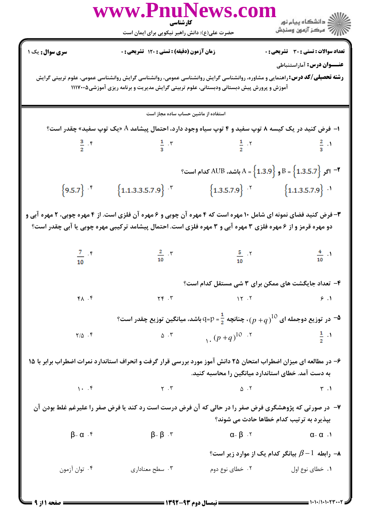| www.PnuNews.co<br>کارشناسی                                                                                                                                                                                                     |                                                                                                                                                                                                                               |                                   |                                                                                                      |  |  |
|--------------------------------------------------------------------------------------------------------------------------------------------------------------------------------------------------------------------------------|-------------------------------------------------------------------------------------------------------------------------------------------------------------------------------------------------------------------------------|-----------------------------------|------------------------------------------------------------------------------------------------------|--|--|
|                                                                                                                                                                                                                                | حضرت علی(ع): دانش راهبر نیکویی برای ایمان است                                                                                                                                                                                 |                                   | ≦ دانشڪاه پيام نور<br>ر∕ = مرڪز آزمون وسنڊش                                                          |  |  |
| <b>سری سوال :</b> یک ۱                                                                                                                                                                                                         | زمان آزمون (دقیقه) : تستی : ۱۲۰ تشریحی : 0                                                                                                                                                                                    |                                   | <b>تعداد سوالات : تستی : 30 ٪ تشریحی : 0</b>                                                         |  |  |
|                                                                                                                                                                                                                                |                                                                                                                                                                                                                               |                                   | <b>عنـــوان درس:</b> آماراستنباطي                                                                    |  |  |
|                                                                                                                                                                                                                                | <b>رشته تحصیلی/کد درس:</b> راهنمایی و مشاوره، روانشناسی گرایش روانشناسی عمومی، روانشناسی گرایش روانشناسی عمومی، علوم تربیتی گرایش<br>آموزش و پرورش پیش دبستانی ودبستانی، علوم تربیتی گرایش مدیریت و برنامه ریزی آموزشی۱۱۱۷۰۰۵ |                                   |                                                                                                      |  |  |
|                                                                                                                                                                                                                                | استفاده از ماشین حساب ساده مجاز است                                                                                                                                                                                           |                                   |                                                                                                      |  |  |
|                                                                                                                                                                                                                                | ا– فرض کنید در یک کیسه ۸ توپ سفید و ۴ توپ سیاه وجود دارد، احتمال پیشامد A «یک توپ سفید» چقدر است؟                                                                                                                             |                                   |                                                                                                      |  |  |
| $rac{3}{2}$ f                                                                                                                                                                                                                  | $\frac{1}{3}$ . T $\frac{1}{2}$ . T                                                                                                                                                                                           |                                   | $rac{2}{3}$                                                                                          |  |  |
|                                                                                                                                                                                                                                |                                                                                                                                                                                                                               |                                   | $^8$ – اگر $^8$ (1.3.5.7 $B = \left\{ 1.3.9 \right\}$ و $B = \left\{ 1.3.5.7 \right\}$ کدام است $^9$ |  |  |
| ${9.5.7}$ $\cdot$                                                                                                                                                                                                              | ${1.1.3.3.5.7.9}$ $\cdot$                                                                                                                                                                                                     | ${1.3.5.7.9}$ ${1.1.3.5.7.9}$ ${$ |                                                                                                      |  |  |
| ۳- فرض کنید فضای نمونه ای شامل ۱۰ مهره است که ۴ مهره آن چوبی و ۶ مهره آن فلزی است. از ۴ مهره چوبی، ۲ مهره آبی و<br>دو مهره قرمز و از ۶ مهره فلزی ۳ مهره آبی و ۳ مهره فلزی است. احتمال پیشامد ترکیبی مهره چوبی یا آبی چقدر است؟ |                                                                                                                                                                                                                               |                                   |                                                                                                      |  |  |
| $\frac{7}{10}$ . $\frac{8}{10}$                                                                                                                                                                                                | $rac{2}{10}$                                                                                                                                                                                                                  | $rac{5}{10}$ Y                    | $\frac{4}{10}$ $\cdot$                                                                               |  |  |
|                                                                                                                                                                                                                                |                                                                                                                                                                                                                               |                                   | ۴– تعداد جایگشت های ممکن برای ۳ شی مستقل کدام است؟                                                   |  |  |
| $Y \wedge T$                                                                                                                                                                                                                   | $\Upsilon \in \mathcal{N}$                                                                                                                                                                                                    | $\mathcal{N}$ . T                 | 9.1                                                                                                  |  |  |
|                                                                                                                                                                                                                                |                                                                                                                                                                                                                               |                                   |                                                                                                      |  |  |
| $Y/\Delta$ .                                                                                                                                                                                                                   | $\Delta$ . ٣                                                                                                                                                                                                                  | $( p+q)^{10}$ .                   | $rac{1}{2}$ $\cdot$                                                                                  |  |  |
| ۶– در مطالعه ای میزان اضطراب امتحان ۲۵ دانش آموز مورد بررسی قرار گرفت و انحراف استاندارد نمرات اضطراب برابر با ۱۵<br>به دست آمد. خطای استاندارد میانگین را محاسبه کنید.                                                        |                                                                                                                                                                                                                               |                                   |                                                                                                      |  |  |
| $\lambda \cdot \lambda^2$                                                                                                                                                                                                      | $\gamma$ . $\gamma$                                                                                                                                                                                                           | $\Delta$ . T                      | $\uparrow$ .                                                                                         |  |  |
| ۷- در صورتی که پژوهشگری فرض صفر را در حالی که آن فرض درست است رد کند یا فرض صفر را علیرغم غلط بودن آن<br>بیذیرد به ترتیب کدام خطاها حادث می شوند؟                                                                              |                                                                                                                                                                                                                               |                                   |                                                                                                      |  |  |
| $\beta - \alpha$ .۴                                                                                                                                                                                                            | $\beta - \beta$ . $\tau$                                                                                                                                                                                                      | $\alpha-\beta$ . $\gamma$         | $\alpha$ - $\alpha$ .                                                                                |  |  |
|                                                                                                                                                                                                                                |                                                                                                                                                                                                                               |                                   | - رابطه $\beta-1$ بیانگر کدام یک از موارد زیر است $\beta$                                            |  |  |
| ۰۴ توان آزمون                                                                                                                                                                                                                  | ۰۳ سطح معناداری                                                                                                                                                                                                               | ۰۲ خطای نوع دوم                   | ۰۱ خطای نوع اول                                                                                      |  |  |

 $= 1.1.71$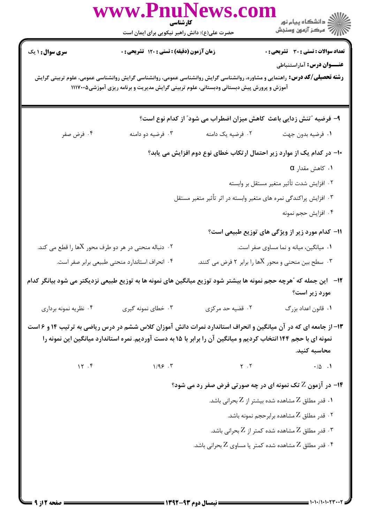|                                                                 | www.PnuNews.col<br>کارشناسی                                                                                                                                                                                                        |                                                                   |                                                                        |
|-----------------------------------------------------------------|------------------------------------------------------------------------------------------------------------------------------------------------------------------------------------------------------------------------------------|-------------------------------------------------------------------|------------------------------------------------------------------------|
|                                                                 | حضرت علی(ع): دانش راهبر نیکویی برای ایمان است                                                                                                                                                                                      |                                                                   | الان دانشگاه پيام نور<br>الان مرکز آزمون وسنجش                         |
| <b>سری سوال :</b> ۱ یک                                          | زمان آزمون (دقیقه) : تستی : ۱۲۰ تشریحی : ۰                                                                                                                                                                                         |                                                                   | <b>تعداد سوالات : تستی : 30 ٪ تشریحی : 0</b>                           |
|                                                                 | <b>رشته تحصیلی/کد درس:</b> راهنمایی و مشاوره، روانشناسی گرایش روانشناسی عمومی، روانشناسی گرایش روانشناسی عمومی، علوم تربیتی گرایش<br>آموزش و پرورش پیش دبستانی ودبستانی، علوم تربیتی گرایش مدیریت و برنامه ریزی آموزشی۱۱۱۷۰۰۵      |                                                                   | <b>عنـــوان درس:</b> آماراستنباطی                                      |
|                                                                 |                                                                                                                                                                                                                                    |                                                                   | ۹- فرضیه "تنش زدایی باعث کاهش میزان اضطراب می شود" از کدام نوع است؟    |
| ۰۴ فرض صفر                                                      | ۰۳ فرضیه دو دامنه                                                                                                                                                                                                                  | ۰۲ فرضیه یک دامنه                                                 | ٠١ فرضيه بدون جهت                                                      |
|                                                                 |                                                                                                                                                                                                                                    |                                                                   | ∙ا– در کدام یک از موارد زیر احتمال ارتکاب خطای نوع دوم افزایش می یابد؟ |
|                                                                 |                                                                                                                                                                                                                                    |                                                                   | $\alpha$ . كاهش مقدار $\alpha$                                         |
|                                                                 |                                                                                                                                                                                                                                    |                                                                   | ۰۲ افزایش شدت تأثیر متغیر مستقل بر وابسته                              |
|                                                                 |                                                                                                                                                                                                                                    | ۰۳ افزایش پراکندگی نمره های متغیر وابسته در اثر تأثیر متغیر مستقل |                                                                        |
|                                                                 |                                                                                                                                                                                                                                    |                                                                   | ۰۴ افزايش حجم نمونه                                                    |
|                                                                 |                                                                                                                                                                                                                                    |                                                                   | 11- كدام مورد زير از ويژگى هاى توزيع طبيعى است؟                        |
| ۰۲ دنباله منحنی در هر دو طرف محور $X$ ها را قطع می کند. $\cdot$ |                                                                                                                                                                                                                                    |                                                                   | ۰۱ میانگین، میانه و نما مساوی صفر است.                                 |
|                                                                 | ۰۴ انحراف استاندارد منحنی طبیعی برابر صفر است.                                                                                                                                                                                     |                                                                   | ۰۳ سطح بین منحنی و محور Xها را برابر ۲ فرض می کنند. $\cdot$            |
|                                                                 | ۱۲−   این جمله که ″هرچه حجم نمونه ها بیشتر شود توزیع میانگین های نمونه ها به توزیع طبیعی نزدیکتر می شود بیانگر کدام                                                                                                                |                                                                   | مورد زیر است؟                                                          |
| ۰۴ نظریه نمونه برداری                                           | ۰۳ خطای نمونه گیری                                                                                                                                                                                                                 | ۰۲ قضیه حد مرکزی                                                  | ۰۱ قانون اعداد بزرگ                                                    |
|                                                                 | ۱۳- از جامعه ای که در آن میانگین و انحراف استاندارد نمرات دانش آموزان کلاس ششم در درس ریاضی به ترتیب ۱۴ و ۶ است<br>نمونه ای با حجم ۱۴۴ انتخاب کردیم و میانگین آن را برابر با ۱۵ به دست آوردیم. نمره استاندارد میانگین این نمونه را |                                                                   | محاسبه كنيد.                                                           |
| 15.7                                                            | 1/95.7                                                                                                                                                                                                                             | $Y \cdot Y$                                                       | $\cdot/\Delta$ .                                                       |
|                                                                 |                                                                                                                                                                                                                                    |                                                                   | <b>۱۴</b> - در آزمون Z تک نمونه ای در چه صورتی فرض صفر رد می شود؟      |
|                                                                 |                                                                                                                                                                                                                                    |                                                                   | ۰۱ قدر مطلق Z مشاهده شده بیشتر از Z بحرانی باشد.                       |
|                                                                 |                                                                                                                                                                                                                                    |                                                                   | ۰۲ قدر مطلق $Z$ مشاهده برابرحجم نمونه باشد. $\cdot$                    |
|                                                                 |                                                                                                                                                                                                                                    |                                                                   | ۰۳ قدر مطلق Z مشاهده شده کمتر از Z بحرانی باشد. $\,$                   |
|                                                                 |                                                                                                                                                                                                                                    |                                                                   | ۰۴ قدر مطلق Z مشاهده شده کمتر یا مساوی Z بحرانی باشد. $\,$             |
|                                                                 |                                                                                                                                                                                                                                    | = 1342-43 د.م 14-1447ه                                            |                                                                        |

 $\blacksquare$  ) • ) • / 1 • 1 • ۲۳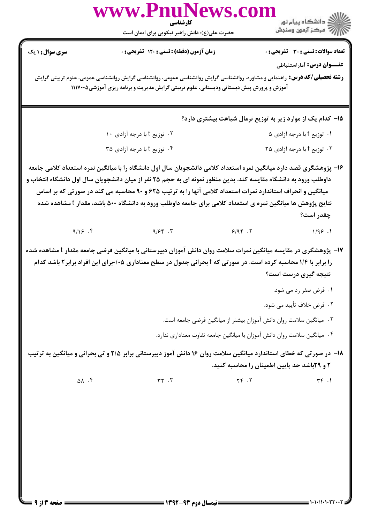|                        | www.PnuNews.con<br>كارشناسي                                                                                                                                                                                                                                                                                                                                                                                                                                      |              |                                                                          |
|------------------------|------------------------------------------------------------------------------------------------------------------------------------------------------------------------------------------------------------------------------------------------------------------------------------------------------------------------------------------------------------------------------------------------------------------------------------------------------------------|--------------|--------------------------------------------------------------------------|
|                        | حضرت علی(ع): دانش راهبر نیکویی برای ایمان است                                                                                                                                                                                                                                                                                                                                                                                                                    |              |                                                                          |
| <b>سری سوال :</b> ۱ یک | زمان آزمون (دقیقه) : تستی : ۱۲۰ تشریحی : ۰                                                                                                                                                                                                                                                                                                                                                                                                                       |              | تعداد سوالات : تستي : 30 - تشريحي : 0                                    |
|                        |                                                                                                                                                                                                                                                                                                                                                                                                                                                                  |              | عنـــوان درس: آماراستنباطی                                               |
|                        | <b>رشته تحصیلی/کد درس:</b> راهنمایی و مشاوره، روانشناسی گرایش روانشناسی عمومی، روانشناسی گرایش روانشناسی عمومی، علوم تربیتی گرایش<br>آموزش و پرورش پیش دبستانی ودبستانی، علوم تربیتی گرایش مدیریت و برنامه ریزی آموزشی۱۱۱۷۰۰۵                                                                                                                                                                                                                                    |              |                                                                          |
|                        |                                                                                                                                                                                                                                                                                                                                                                                                                                                                  |              | ۱۵– کدام یک از موارد زیر به توزیع نرمال شباهت بیشتری دارد؟               |
|                        | ۰۲ توزیع t با درجه آزادی ۱۰                                                                                                                                                                                                                                                                                                                                                                                                                                      |              | ۰۱ توزیع t با درجه آزادی ۵                                               |
|                        | ۰۴ توزیع t با درجه آزادی ۳۵                                                                                                                                                                                                                                                                                                                                                                                                                                      |              | ۰۳ توزیع t با درجه آزادی ۲۵                                              |
|                        | ۱۶– پژوهشگری قصد دارد میانگین نمره استعداد کلامی دانشجویان سال اول دانشگاه را با میانگین نمره استعداد کلامی جامعه<br>داوطلب ورود به دانشگاه مقایسه کند. بدین منظور نمونه ای به حجم ۲۵ نفر از میان دانشجویان سال اول دانشگاه انتخاب و<br>میانگین و انحراف استاندارد نمرات استعداد کلامی آنها را به ترتیب ۶۲۵ و ۹۰ محاسبه می کند در صورتی که بر اساس<br>نتایج پژوهش ها میانگین نمره ی استعداد کلامی برای جامعه داوطلب ورود به دانشگاه ۵۰۰ باشد، مقدار t مشاهده شده |              | چقدر است؟                                                                |
|                        | $9/19$ f $9/99$ $7$ $9/19$ $7$                                                                                                                                                                                                                                                                                                                                                                                                                                   |              | 1/95.1                                                                   |
|                        | ۱۷– پژوهشگری در مقایسه میانگین نمرات سلامت روان دانش آموزان دبیرستانی با میانگین فرضی جامعه مقدار t مشاهده شده<br>را برابر با ۱/۴ محاسبه کرده است. در صورتی که f بحرانی جدول در سطح معناداری ۰/۵+برای این افراد برابر۲ باشد کدام                                                                                                                                                                                                                                 |              | نتیجه گیری درست است؟                                                     |
|                        |                                                                                                                                                                                                                                                                                                                                                                                                                                                                  |              | ۰۱ فرض صفر رد می شود.                                                    |
|                        |                                                                                                                                                                                                                                                                                                                                                                                                                                                                  |              | ٢. فرض خلاف تأييد مي شود.                                                |
|                        |                                                                                                                                                                                                                                                                                                                                                                                                                                                                  |              | ٠٣ ميانگين سلامت روان دانش آموزان بيشتر از ميانگين فرضي جامعه است.       |
|                        |                                                                                                                                                                                                                                                                                                                                                                                                                                                                  |              | ۰۴ میانگین سلامت روان دانش آموزان با میانگین جامعه تفاوت معناداری ندارد. |
|                        | ۱۸- در صورتی که خطای استاندارد میانگین سلامت روان ۱۶ دانش آموز دبیرستانی برابر ۲/۵ و تی بحرانی و میانگین به ترتیب                                                                                                                                                                                                                                                                                                                                                |              | ۲ و ۲۹باشد حد پایین اطمینان را محاسبه کنید.                              |
| $\Delta \Lambda$ .۴    | $\tau\tau$ . $\tau$                                                                                                                                                                                                                                                                                                                                                                                                                                              | $YY \cdot Y$ | $\uparrow\uparrow$ .1                                                    |
|                        |                                                                                                                                                                                                                                                                                                                                                                                                                                                                  |              |                                                                          |
|                        |                                                                                                                                                                                                                                                                                                                                                                                                                                                                  |              |                                                                          |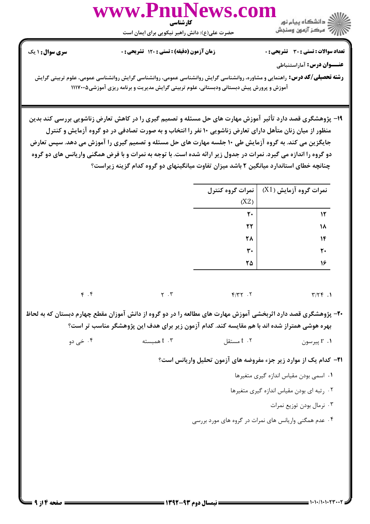

تعداد سوالات : تستى : 30 - تشريحي : 0

أأزأت مركز آزمون وسنجش

زمان آزمون (دقیقه) : تستی : 120 تشریحی : 0

**سری سوال : ۱ یک** 

عنــوان درس: آماراستنباطي

**رشته تحصیلی/کد درس:** راهنمایی و مشاوره، روانشناسی گرایش روانشناسی عمومی، روانشناسی گرایش روانشناسی عمومی، علوم تربیتی گرایش آموزش و پرورش پیش دبستانی ودبستانی، علوم تربیتی گرایش مدیریت و برنامه ریزی آموزشی ۱۱۱۷۰۰۵

۱۹- پژوهشگری قصد دارد تأثیر آموزش مهارت های حل مسئله و تصمیم گیری را در کاهش تعارض زناشویی بررسی کند بدین منظور از میان زنان متأهل دارای تعارض زناشویی ۱۰ نفر را انتخاب و به صورت تصادفی در دو گروه آزمایش و کنترل جایگزین می کند. به گروه آزمایش طی ۱۰ جلسه مهارت های حل مسئله و تصمیم گیری را آموزش می دهد. سپس تعارض دو گروه را اندازه می گیرد. نمرات در جدول زیر ارائه شده است. با توجه به نمرات و با فرض همگنی واریانس های دو گروه چنانچه خطای استاندارد میانگین ۲ باشد میزان تفاوت میانگینهای دو گروه کدام گزینه زیراست؟

|                                 |                                                                                                                | نمرات گروه کنترل | $(X1)$ نمرات گروه آزمایش                                                 |
|---------------------------------|----------------------------------------------------------------------------------------------------------------|------------------|--------------------------------------------------------------------------|
|                                 |                                                                                                                | (X2)             |                                                                          |
|                                 |                                                                                                                | $\mathsf{r}$ .   | $\mathcal{N}$                                                            |
|                                 |                                                                                                                | $\mathbf{r}$     | ۱۸                                                                       |
|                                 |                                                                                                                | ٢٨               | $\mathcal{N}$                                                            |
|                                 |                                                                                                                | $\mathbf{r}$ .   | $\mathbf{r}$                                                             |
|                                 |                                                                                                                | ۲۵               | 16                                                                       |
| $\mathfrak{f}$ . $\mathfrak{f}$ | $\gamma$ . $\tau$                                                                                              | Y/YY.7           | $Y/YY$ .                                                                 |
|                                 | ۲۰– پژوهشگری قصد دارد اثربخشی آموزش مهارت های مطالعه را در دو گروه از دانش آموزان مقطع چهارم دبستان که به لحاظ |                  |                                                                          |
|                                 | بهره هوشی همتراز شده اند با هم مقایسه کند. کدام آزمون زیر برای هدف این پژوهشگر مناسب تر است؟                   |                  |                                                                          |
|                                 |                                                                                                                |                  |                                                                          |
| ۰۴ خي دو                        | $t \cdot r$ همبسته                                                                                             | t . ۲ مستقل      | 1. r پيرسون                                                              |
|                                 |                                                                                                                |                  | <b>۲۱</b> - کدام یک از موارد زیر جزء مفروضه های آزمون تحلیل واریانس است؟ |
|                                 |                                                                                                                |                  | ٠١ اسمى بودن مقياس اندازه كيرى متغيرها                                   |
|                                 |                                                                                                                |                  | ٢. رتبه ای بودن مقیاس اندازه گیری متغیرها                                |
|                                 |                                                                                                                |                  | ۰۳ نرمال بودن توزيع نمرات                                                |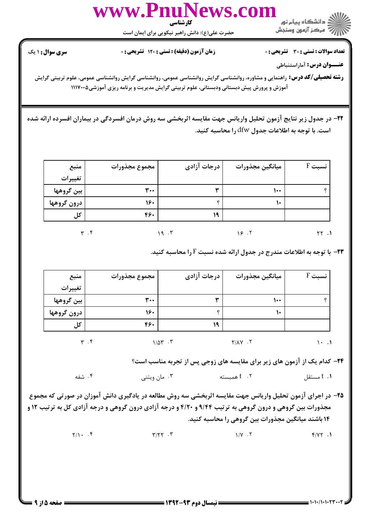

**تعداد سوالات : تستي : 30 ٪ تشريحي : 0** 

الآلاء مركز آزمون وسنجش

زمان آزمون (دقیقه) : تستی : 120 تشریحی : 0

**سری سوال : ۱ یک** 

عنــوان درس: آماراستنباطي

**رشته تحصیلی/کد درس:** راهنمایی و مشاوره، روانشناسی گرایش روانشناسی عمومی، روانشناسی گرایش روانشناسی عمومی، علوم تربیتی گرایش آموزش و پرورش پیش دبستانی ودبستانی، علوم تربیتی گرایش مدیریت و برنامه ریزی آموزشی ۱۱۱۷۰۰۵

٢٢- در جدول زير نتايج آزمون تحليل واريانس جهت مقايسه اثربخشي سه روش درمان افسردگي در بيماران افسرده ارائه شده است. با توجه به اطلاعات جدول dfw را محاسبه کنید.

| منبع        | مجموع مجذورات | درجات آزادی               | ميانگين مجذورات | $F \nightharpoonup$ نسبت |
|-------------|---------------|---------------------------|-----------------|--------------------------|
| تغييرات     |               |                           |                 |                          |
| بين گروهها  | $\mathbf{r}$  | ىدە                       | ۱۰۰             |                          |
| درون گروهها | 160           |                           | ۱٠              |                          |
| کل          | 46.           | ۱۹                        |                 |                          |
|             | ۲.۲           | $\cdot$ $\mathsf{r}$<br>٩ | 9.1             | $\cdot$                  |

**۲۳**- با توجه به اطلاعات مندرج در جدول ارائه شده نسبت F را محاسبه کنید.

| منبع        | ' مجموع مجذورات | درجات آزادی                      | ميانگين مجذورات | $F \sim$ نسبت |
|-------------|-----------------|----------------------------------|-----------------|---------------|
| تغييرات     |                 |                                  |                 |               |
| بين گروهها  | ۳.۰             | w                                | ۱۰۰             |               |
| درون گروهها | 160             |                                  | ۱۰              |               |
| کل          | 460             | ۱۹                               |                 |               |
|             | ۴. ۳            | $1/\Delta \Upsilon$ . $\Upsilon$ | $Y/AY$ .        | $\cdot$ 1     |

۲۴- کدام یک از آزمون های زیر برای مقایسه های زوجی پس از تجربه مناسب است؟

۰۴ شفه ۰۳ مان ویتنی ۰۲ همیسته t . 1 مستقل

۲۵- در اجرای آزمون تحلیل واریانس جهت مقایسه اثربخشی سه روش مطالعه در یادگیری دانش آموزان در صورتی که مجموع مجذورات بین گروهی و درون گروهی به ترتیب ۹/۴۴ و ۴/۲۰ و درجه آزادی درون گروهی و درجه آزادی کل به ترتیب ۱۲ و ۱۴ باشند میانگین مجذورات بین گروهی را محاسبه کنید.

> $Y/\sqrt{1}$ .  $f$  $Y/YY \cdot Y$  $1/V$ .  $\tau$  $f/YY.1$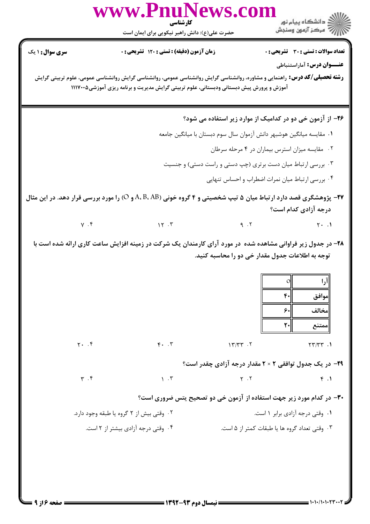|                             | www.PnuNews.com<br>كارشناسي<br>حضرت علی(ع): دانش راهبر نیکویی برای ایمان است                                                                                                                                                  |                                                                      | الان دانشڪاه پيام نور<br>الاس مرکز آزمون وسنڊش                                                                                   |
|-----------------------------|-------------------------------------------------------------------------------------------------------------------------------------------------------------------------------------------------------------------------------|----------------------------------------------------------------------|----------------------------------------------------------------------------------------------------------------------------------|
| <b>سری سوال : ۱ یک</b>      | زمان آزمون (دقیقه) : تستی : ۱۲۰ تشریحی : ۰                                                                                                                                                                                    |                                                                      | <b>تعداد سوالات : تستی : 30 ٪ تشریحی : 0</b>                                                                                     |
|                             | <b>رشته تحصیلی/کد درس:</b> راهنمایی و مشاوره، روانشناسی گرایش روانشناسی عمومی، روانشناسی گرایش روانشناسی عمومی، علوم تربیتی گرایش<br>آموزش و پرورش پیش دبستانی ودبستانی، علوم تربیتی گرایش مدیریت و برنامه ریزی آموزشی۱۱۱۷۰۰۵ |                                                                      | <b>عنـــوان درس:</b> آماراستنباطی                                                                                                |
|                             |                                                                                                                                                                                                                               |                                                                      | ۲۶- از آزمون خی دو در کدامیک از موارد زیر استفاده می شود؟                                                                        |
|                             |                                                                                                                                                                                                                               | ٠١ مقايسه ميانگين هوشبهر دانش آزموان سال سوم دبستان با ميانگين جامعه |                                                                                                                                  |
|                             |                                                                                                                                                                                                                               |                                                                      | ۰۲ مقایسه میزان استرس بیماران در ۴ مرحله سرطان                                                                                   |
|                             |                                                                                                                                                                                                                               | ۰۳ بررسی ارتباط میان دست برتری (چپ دستی و راست دستی) و جنسیت         |                                                                                                                                  |
|                             |                                                                                                                                                                                                                               |                                                                      | ۰۴ بررسی ارتباط میان نمرات اضطراب و احساس تنهایی                                                                                 |
|                             | <b>۲۷</b> - پژوهشگری قصد دارد ارتباط میان ۵ تیپ شخصیتی و ۴ گروه خونی (A، B، AB و O) را مورد بررسی قرار دهد. در این مثال                                                                                                       |                                                                      | درجه آزادی کدام است؟                                                                                                             |
|                             | $Y \cdot Y$                                                                                                                                                                                                                   |                                                                      | $9.7$ $7.1$                                                                                                                      |
|                             | ۲۸- در جدول زیر فراوانی مشاهده شده ً در مورد آرای کارمندان یک شرکت در زمینه افزایش ساعت کاری ارائه شده است با                                                                                                                 |                                                                      | توجه به اطلاعات جدول مقدار خی دو را محاسبه کنید.<br>$\circ$<br>إارا<br>$F -$<br>موافق<br>۶۰<br>مخالف<br>$\mathsf{r}$ .<br>اممتنع |
| $Y \cdot \cdot f$           | $F \cdot \cdot \cdot$                                                                                                                                                                                                         | $\gamma$                                                             | $YY/YY$ .                                                                                                                        |
|                             |                                                                                                                                                                                                                               |                                                                      | ۲۹- در یک جدول توافقی ۲ × ۲ مقدار درجه آزادی چقدر است؟                                                                           |
| $\mathbf{r}$ . $\mathbf{r}$ | $\lambda$ . $\tau$                                                                                                                                                                                                            | $Y \cdot Y$                                                          | f.1                                                                                                                              |
|                             |                                                                                                                                                                                                                               |                                                                      | ۳۰- در کدام مورد زیر جهت استفاده از آزمون خی دو تصحیح یتس ضروری است؟                                                             |
|                             | ۰۲ وقتی بیش از ۲ گروه یا طبقه وجود دارد.                                                                                                                                                                                      |                                                                      | ۰۱ وقتی درجه آزادی برابر ۱ است.                                                                                                  |
|                             | ۰۴ وقتی درجه آزادی بیشتر از ۲ است.                                                                                                                                                                                            |                                                                      | ۰۳ وقتی تعداد گروه ها یا طبقات کمتر از ۵ است.                                                                                    |
|                             |                                                                                                                                                                                                                               |                                                                      |                                                                                                                                  |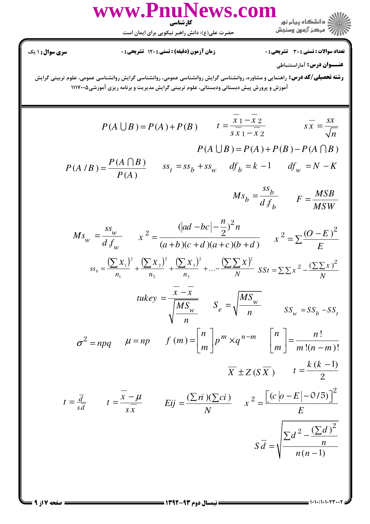WWW.PnuNews.com ر<br>مالک دانشگاه پیام نو<sub>ر</sub> دانسٽاه پيام ٿور<br>والا مرڪز آزمون وسنڊش

حضرت علی(ع): دانش راهبر نیکویی برای ایمان است

**تعداد سوالات : تستی : 30 - تشریحی : 0** 

**سری سوال :** ۱ یک

عنــوان درس: آماراستنباطي

**رشته تحصیلی/کد درس:** راهنمایی و مشاوره، روانشناسی گرایش روانشناسی عمومی، روانشناسی گرایش روانشناسی عمومی، علوم تربیتی گرایش آموزش و پرورش پیش دبستانی ودبستانی، علوم تربیتی گرایش مدیریت و برنامه ریزی آموزشی۱۱۱۷۰۰۵

$$
P(A \cup B) = P(A) + P(B) \qquad t = \frac{\overline{x_1} - \overline{x_2}}{s\overline{x_1} - \overline{x_2}} \qquad s\overline{x} = \frac{sx}{\sqrt{n}}
$$

$$
P(A \cup B) = P(A) + P(B) - P(A \cap B)
$$

$$
P(A \cap B) = \frac{P(A \cap B)}{P(A)} \qquad ss_t = ss_b + ss_w \qquad df_b = k - 1 \qquad df_w = N - K
$$

$$
Ms_b = \frac{ss_b}{d f_b} \qquad F = \frac{MSB}{MSW}
$$

$$
Ms_w = \frac{ss_w}{d f_w} \qquad x^2 = \frac{(|ad - bc| - \frac{n}{2})^2 n}{(a+b)(c+d)(a+c)(b+d)} \qquad x^2 = \sum \frac{(O - E)^2}{E}
$$

$$
ss_b = \frac{\left(\sum X_1\right)^2}{n_1} + \frac{\left(\sum X_2\right)^2}{n_2} + \frac{\left(\sum X_3\right)^2}{n_3} + \dots - \frac{\left(\sum \sum X\right)^2}{N} \quad SSt = \sum \sum x^2 - \frac{\left(\sum \sum x\right)^2}{N}
$$

$$
tukey = \frac{x - x}{\sqrt{\frac{MS_w}{n}}} \qquad S_e = \sqrt{\frac{MS_w}{n}} \qquad SS_w = SS_b - SS_b
$$

$$
\sigma^2 = npq \qquad \mu = np \qquad f(m) = \left[ \begin{array}{c} n \\ m \end{array} \right] p^m \times q^{n-m} \qquad \left[ \begin{array}{c} n \\ m \end{array} \right] = \frac{n!}{m!(n-m)!}
$$

$$
\overline{X} \pm Z(S\overline{X}) \qquad t = \frac{k(k-1)}{2}
$$

$$
t = \frac{\overline{d}}{s\overline{d}} \qquad t = \frac{x - \mu}{s\overline{x}} \qquad Eij = \frac{(\sum r i)(\sum ci)}{N} \qquad x^2 = \frac{\lfloor (c|o - E| - O/5) \rfloor}{E}
$$

$$
S\overline{d} = \sqrt{\frac{\sum d^2 - \frac{(\sum d)^2}{n}}{n(n-1)}}
$$

**: صفحه 7 از 9 =**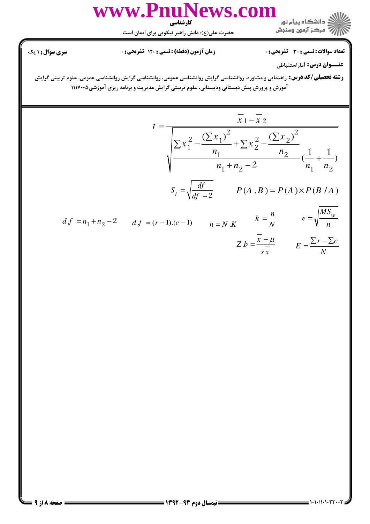

**تعداد سوالات : تستی : 30 - تشریحی : 0** 

**زمان آزمون (دقیقه) : تستی : 120 تشریحی: 0** 

سری سوال: ۱ یک

عنــوان درس: آماراستنباطي

**رشته تحصیلی/کد درس:** راهنمایی و مشاوره، روانشناسی گرایش روانشناسی عمومی، روانشناسی گرایش روانشناسی عمومی، علوم تربیتی گرایش آموزش و پرورش پیش دبستانی ودبستانی، علوم تربیتی گرایش مدیریت و برنامه ریزی آموزشی۱۱۱۷۰۰۵

$$
t = \frac{\overline{x_1} - \overline{x_2}}{\sqrt{\sum x_1^2 - \frac{(\sum x_1)^2}{n_1} + \sum x_2^2 - \frac{(\sum x_2)^2}{n_2}}}
$$
  

$$
S_t = \sqrt{\frac{df}{df - 2}}
$$
  

$$
P(A, B) = P(A) \times P(B/A)
$$
  

$$
d f = n_1 + n_2 - 2
$$
  

$$
d f = (r - 1).(c - 1)
$$
  

$$
n = N.K
$$
  

$$
k = \frac{n}{N}
$$
  

$$
e = \sqrt{\frac{MS_w}{n}}
$$

$$
Z b = \frac{\overline{x} - \mu}{s \overline{x}} \qquad E = \frac{\sum r - \sum c}{N}
$$